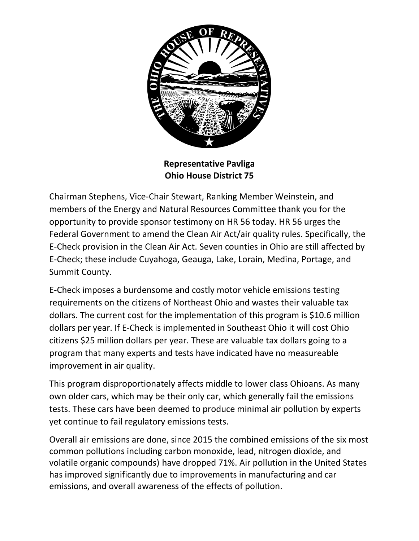

**Representative Pavliga Ohio House District 75** 

Chairman Stephens, Vice-Chair Stewart, Ranking Member Weinstein, and members of the Energy and Natural Resources Committee thank you for the opportunity to provide sponsor testimony on HR 56 today. HR 56 urges the Federal Government to amend the Clean Air Act/air quality rules. Specifically, the E-Check provision in the Clean Air Act. Seven counties in Ohio are still affected by E-Check; these include Cuyahoga, Geauga, Lake, Lorain, Medina, Portage, and Summit County.

E-Check imposes a burdensome and costly motor vehicle emissions testing requirements on the citizens of Northeast Ohio and wastes their valuable tax dollars. The current cost for the implementation of this program is \$10.6 million dollars per year. If E-Check is implemented in Southeast Ohio it will cost Ohio citizens \$25 million dollars per year. These are valuable tax dollars going to a program that many experts and tests have indicated have no measureable improvement in air quality.

This program disproportionately affects middle to lower class Ohioans. As many own older cars, which may be their only car, which generally fail the emissions tests. These cars have been deemed to produce minimal air pollution by experts yet continue to fail regulatory emissions tests.

Overall air emissions are done, since 2015 the combined emissions of the six most common pollutions including carbon monoxide, lead, nitrogen dioxide, and volatile organic compounds) have dropped 71%. Air pollution in the United States has improved significantly due to improvements in manufacturing and car emissions, and overall awareness of the effects of pollution.